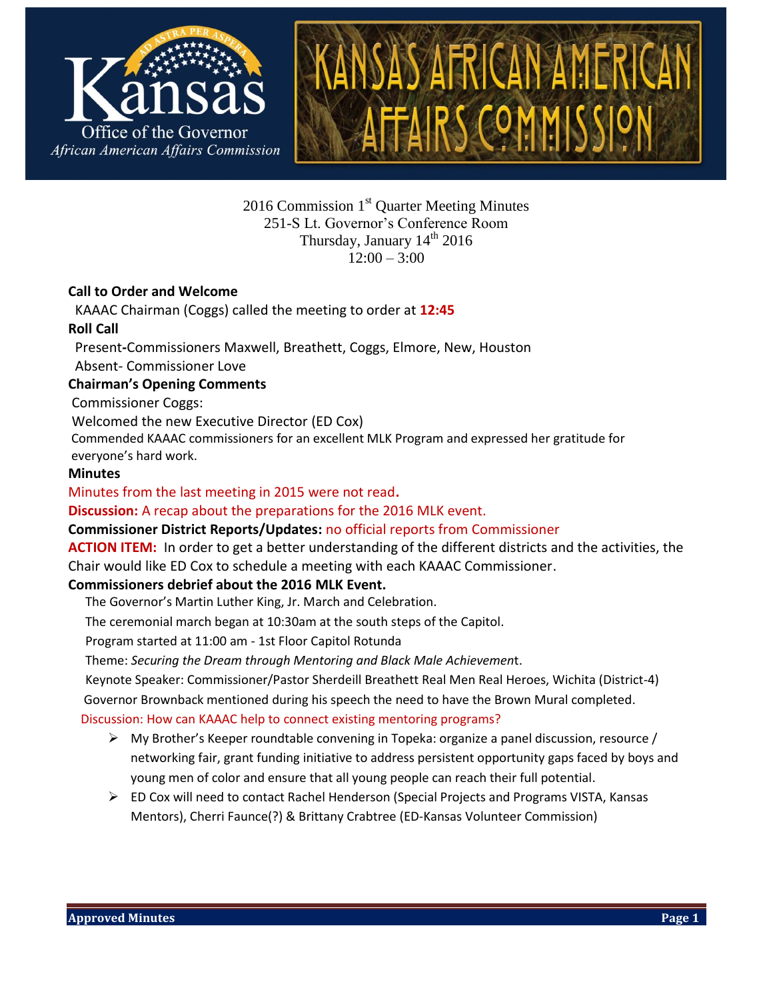

 $2016$  Commission  $1<sup>st</sup>$  Quarter Meeting Minutes 251-S Lt. Governor's Conference Room Thursday, January  $14<sup>th</sup> 2016$  $12:00 - 3:00$ 

### **Call to Order and Welcome**

 KAAAC Chairman (Coggs) called the meeting to order at **12:45 Roll Call**

 Present**-**Commissioners Maxwell, Breathett, Coggs, Elmore, New, Houston Absent- Commissioner Love

### **Chairman's Opening Comments**

Commissioner Coggs:

Welcomed the new Executive Director (ED Cox)

Commended KAAAC commissioners for an excellent MLK Program and expressed her gratitude for everyone's hard work.

#### **Minutes**

Minutes from the last meeting in 2015 were not read**.** 

**Discussion:** A recap about the preparations for the 2016 MLK event.

**Commissioner District Reports/Updates:** no official reports from Commissioner

**ACTION ITEM:** In order to get a better understanding of the different districts and the activities, the Chair would like ED Cox to schedule a meeting with each KAAAC Commissioner.

### **Commissioners debrief about the 2016 MLK Event.**

The Governor's Martin Luther King, Jr. March and Celebration.

The ceremonial march began at 10:30am at the south steps of the Capitol.

Program started at 11:00 am - 1st Floor Capitol Rotunda

Theme: *Securing the Dream through Mentoring and Black Male Achievemen*t.

Keynote Speaker: Commissioner/Pastor Sherdeill Breathett Real Men Real Heroes, Wichita (District-4)

Governor Brownback mentioned during his speech the need to have the Brown Mural completed.

### Discussion: How can KAAAC help to connect existing mentoring programs?

- $\triangleright$  My Brother's Keeper roundtable convening in Topeka: organize a panel discussion, resource / networking fair, grant funding initiative to address persistent opportunity gaps faced by boys and young men of color and ensure that all young people can reach their full potential.
- $\triangleright$  ED Cox will need to contact Rachel Henderson (Special Projects and Programs VISTA, Kansas Mentors), Cherri Faunce(?) & Brittany Crabtree (ED-Kansas Volunteer Commission)